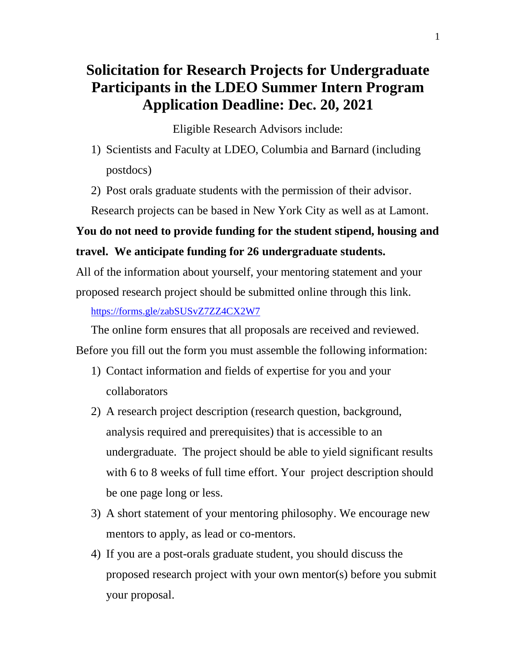# **Solicitation for Research Projects for Undergraduate Participants in the LDEO Summer Intern Program Application Deadline: Dec. 20, 2021**

Eligible Research Advisors include:

- 1) Scientists and Faculty at LDEO, Columbia and Barnard (including postdocs)
- 2) Post orals graduate students with the permission of their advisor.

Research projects can be based in New York City as well as at Lamont.

### **You do not need to provide funding for the student stipend, housing and travel. We anticipate funding for 26 undergraduate students.**

All of the information about yourself, your mentoring statement and your proposed research project should be submitted online through this link.

<https://forms.gle/zabSUSvZ7ZZ4CX2W7>

The online form ensures that all proposals are received and reviewed. Before you fill out the form you must assemble the following information:

- 1) Contact information and fields of expertise for you and your collaborators
- 2) A research project description (research question, background, analysis required and prerequisites) that is accessible to an undergraduate. The project should be able to yield significant results with 6 to 8 weeks of full time effort. Your project description should be one page long or less.
- 3) A short statement of your mentoring philosophy. We encourage new mentors to apply, as lead or co-mentors.
- 4) If you are a post-orals graduate student, you should discuss the proposed research project with your own mentor(s) before you submit your proposal.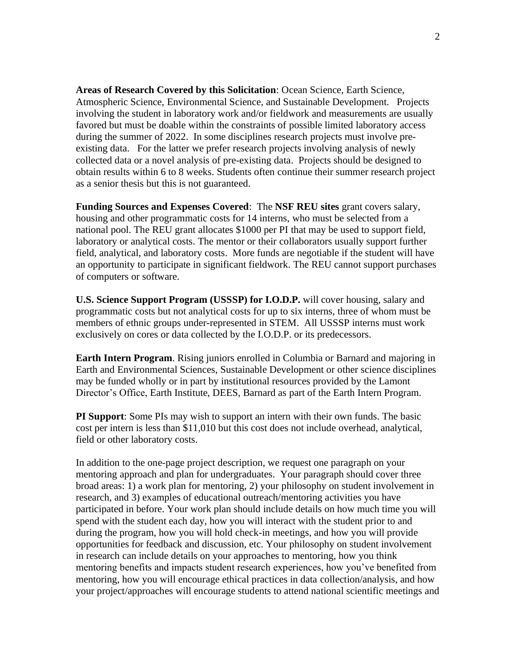**Areas of Research Covered by this Solicitation**: Ocean Science, Earth Science, Atmospheric Science, Environmental Science, and Sustainable Development. Projects involving the student in laboratory work and/or fieldwork and measurements are usually favored but must be doable within the constraints of possible limited laboratory access during the summer of 2022. In some disciplines research projects must involve preexisting data. For the latter we prefer research projects involving analysis of newly collected data or a novel analysis of pre-existing data. Projects should be designed to obtain results within 6 to 8 weeks. Students often continue their summer research project as a senior thesis but this is not guaranteed.

**Funding Sources and Expenses Covered**: The **NSF REU sites** grant covers salary, housing and other programmatic costs for 14 interns, who must be selected from a national pool. The REU grant allocates \$1000 per PI that may be used to support field, laboratory or analytical costs. The mentor or their collaborators usually support further field, analytical, and laboratory costs. More funds are negotiable if the student will have an opportunity to participate in significant fieldwork. The REU cannot support purchases of computers or software.

**U.S. Science Support Program (USSSP) for I.O.D.P.** will cover housing, salary and programmatic costs but not analytical costs for up to six interns, three of whom must be members of ethnic groups under-represented in STEM. All USSSP interns must work exclusively on cores or data collected by the I.O.D.P. or its predecessors.

**Earth Intern Program**. Rising juniors enrolled in Columbia or Barnard and majoring in Earth and Environmental Sciences, Sustainable Development or other science disciplines may be funded wholly or in part by institutional resources provided by the Lamont Director's Office, Earth Institute, DEES, Barnard as part of the Earth Intern Program.

**PI Support**: Some PIs may wish to support an intern with their own funds. The basic cost per intern is less than \$11,010 but this cost does not include overhead, analytical, field or other laboratory costs.

In addition to the one-page project description, we request one paragraph on your mentoring approach and plan for undergraduates. Your paragraph should cover three broad areas: 1) a work plan for mentoring, 2) your philosophy on student involvement in research, and 3) examples of educational outreach/mentoring activities you have participated in before. Your work plan should include details on how much time you will spend with the student each day, how you will interact with the student prior to and during the program, how you will hold check-in meetings, and how you will provide opportunities for feedback and discussion, etc. Your philosophy on student involvement in research can include details on your approaches to mentoring, how you think mentoring benefits and impacts student research experiences, how you've benefited from mentoring, how you will encourage ethical practices in data collection/analysis, and how your project/approaches will encourage students to attend national scientific meetings and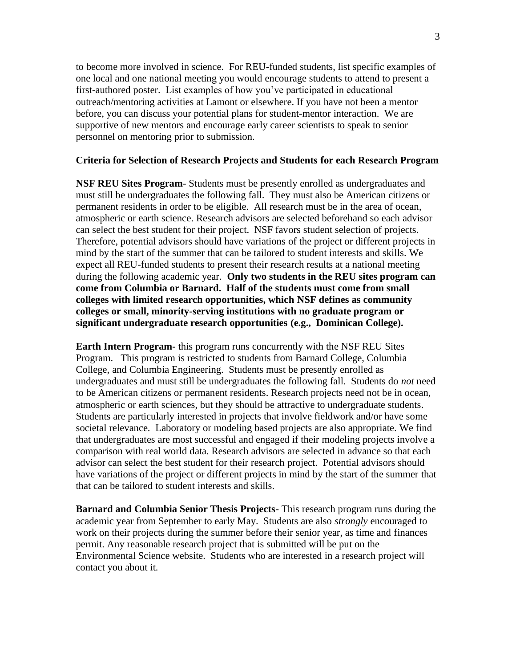to become more involved in science. For REU-funded students, list specific examples of one local and one national meeting you would encourage students to attend to present a first-authored poster. List examples of how you've participated in educational outreach/mentoring activities at Lamont or elsewhere. If you have not been a mentor before, you can discuss your potential plans for student-mentor interaction. We are supportive of new mentors and encourage early career scientists to speak to senior personnel on mentoring prior to submission.

#### **Criteria for Selection of Research Projects and Students for each Research Program**

**NSF REU Sites Program**- Students must be presently enrolled as undergraduates and must still be undergraduates the following fall. They must also be American citizens or permanent residents in order to be eligible. All research must be in the area of ocean, atmospheric or earth science. Research advisors are selected beforehand so each advisor can select the best student for their project. NSF favors student selection of projects. Therefore, potential advisors should have variations of the project or different projects in mind by the start of the summer that can be tailored to student interests and skills. We expect all REU-funded students to present their research results at a national meeting during the following academic year. **Only two students in the REU sites program can come from Columbia or Barnard. Half of the students must come from small colleges with limited research opportunities, which NSF defines as community colleges or small, minority-serving institutions with no graduate program or significant undergraduate research opportunities (e.g., Dominican College).** 

**Earth Intern Program-** this program runs concurrently with the NSF REU Sites Program. This program is restricted to students from Barnard College, Columbia College, and Columbia Engineering. Students must be presently enrolled as undergraduates and must still be undergraduates the following fall. Students do *not* need to be American citizens or permanent residents. Research projects need not be in ocean, atmospheric or earth sciences, but they should be attractive to undergraduate students. Students are particularly interested in projects that involve fieldwork and/or have some societal relevance. Laboratory or modeling based projects are also appropriate. We find that undergraduates are most successful and engaged if their modeling projects involve a comparison with real world data. Research advisors are selected in advance so that each advisor can select the best student for their research project. Potential advisors should have variations of the project or different projects in mind by the start of the summer that that can be tailored to student interests and skills.

**Barnard and Columbia Senior Thesis Projects**- This research program runs during the academic year from September to early May. Students are also *strongly* encouraged to work on their projects during the summer before their senior year, as time and finances permit. Any reasonable research project that is submitted will be put on the Environmental Science website. Students who are interested in a research project will contact you about it.